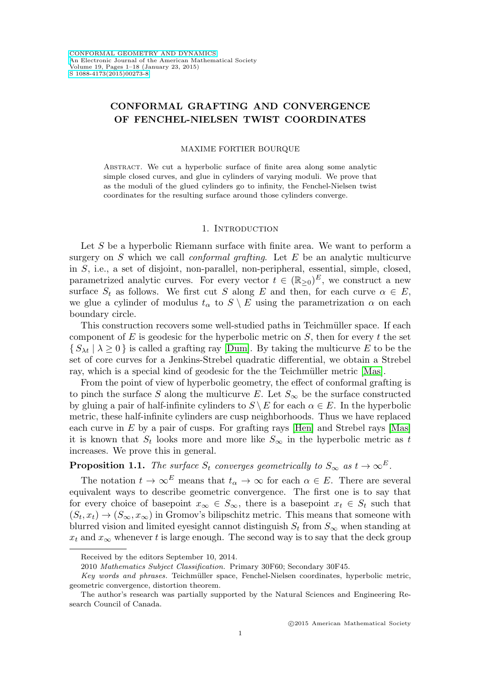# **CONFORMAL GRAFTING AND CONVERGENCE OF FENCHEL-NIELSEN TWIST COORDINATES**

### MAXIME FORTIER BOURQUE

Abstract. We cut a hyperbolic surface of finite area along some analytic simple closed curves, and glue in cylinders of varying moduli. We prove that as the moduli of the glued cylinders go to infinity, the Fenchel-Nielsen twist coordinates for the resulting surface around those cylinders converge.

### 1. INTRODUCTION

Let S be a hyperbolic Riemann surface with finite area. We want to perform a surgery on  $S$  which we call *conformal grafting*. Let  $E$  be an analytic multicurve in S, i.e., a set of disjoint, non-parallel, non-peripheral, essential, simple, closed, parametrized analytic curves. For every vector  $t \in (\mathbb{R}_{\geq 0})^E$ , we construct a new surface  $S_t$  as follows. We first cut S along E and then, for each curve  $\alpha \in E$ , we glue a cylinder of modulus  $t_{\alpha}$  to  $S \setminus E$  using the parametrization  $\alpha$  on each boundary circle.

This construction recovers some well-studied paths in Teichmüller space. If each component of  $E$  is geodesic for the hyperbolic metric on  $S$ , then for every  $t$  the set  $\{S_{\lambda t} | \lambda \geq 0\}$  is called a grafting ray [\[Dum\]](#page-16-0). By taking the multicurve E to be the set of core curves for a Jenkins-Strebel quadratic differential, we obtain a Strebel ray, which is a special kind of geodesic for the the Teichmüller metric [\[Mas\]](#page-17-0).

From the point of view of hyperbolic geometry, the effect of conformal grafting is to pinch the surface S along the multicurve E. Let  $S_{\infty}$  be the surface constructed by gluing a pair of half-infinite cylinders to  $S \setminus E$  for each  $\alpha \in E$ . In the hyperbolic metric, these half-infinite cylinders are cusp neighborhoods. Thus we have replaced each curve in  $E$  by a pair of cusps. For grafting rays [\[Hen\]](#page-16-1) and Strebel rays [\[Mas\]](#page-17-0) it is known that  $S_t$  looks more and more like  $S_\infty$  in the hyperbolic metric as t increases. We prove this in general.

<span id="page-0-0"></span>**Proposition 1.1.** The surface  $S_t$  converges geometrically to  $S_\infty$  as  $t \to \infty^E$ .

The notation  $t \to \infty^E$  means that  $t_\alpha \to \infty$  for each  $\alpha \in E$ . There are several equivalent ways to describe geometric convergence. The first one is to say that for every choice of basepoint  $x_{\infty} \in S_{\infty}$ , there is a basepoint  $x_t \in S_t$  such that  $(S_t, x_t) \to (S_{\infty}, x_{\infty})$  in Gromov's bilipschitz metric. This means that someone with blurred vision and limited eyesight cannot distinguish  $S_t$  from  $S_\infty$  when standing at  $x_t$  and  $x_\infty$  whenever t is large enough. The second way is to say that the deck group

Received by the editors September 10, 2014.

<sup>2010</sup> Mathematics Subject Classification. Primary 30F60; Secondary 30F45.

Key words and phrases. Teichmüller space, Fenchel-Nielsen coordinates, hyperbolic metric, geometric convergence, distortion theorem.

The author's research was partially supported by the Natural Sciences and Engineering Research Council of Canada.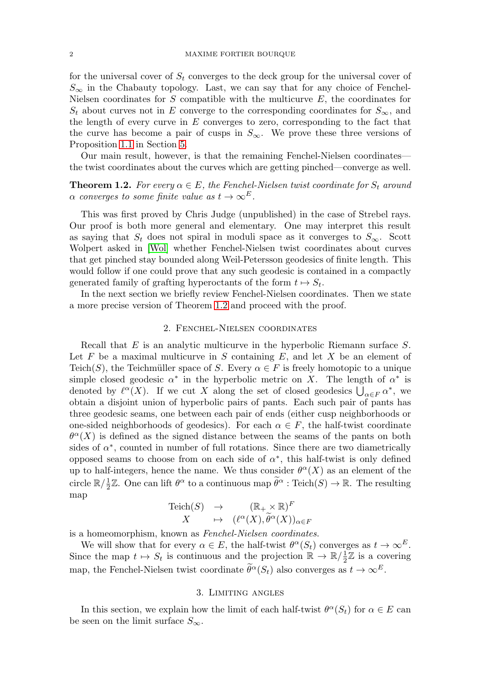for the universal cover of  $S_t$  converges to the deck group for the universal cover of  $S_{\infty}$  in the Chabauty topology. Last, we can say that for any choice of Fenchel-Nielsen coordinates for  $S$  compatible with the multicurve  $E$ , the coordinates for  $S_t$  about curves not in E converge to the corresponding coordinates for  $S_{\infty}$ , and the length of every curve in  $E$  converges to zero, corresponding to the fact that the curve has become a pair of cusps in  $S_{\infty}$ . We prove these three versions of Proposition [1.1](#page-0-0) in Section [5.](#page-8-0)

Our main result, however, is that the remaining Fenchel-Nielsen coordinates the twist coordinates about the curves which are getting pinched—converge as well.

<span id="page-1-0"></span>**Theorem 1.2.** For every  $\alpha \in E$ , the Fenchel-Nielsen twist coordinate for  $S_t$  around  $\alpha$  converges to some finite value as  $t \to \infty^E$ .

This was first proved by Chris Judge (unpublished) in the case of Strebel rays. Our proof is both more general and elementary. One may interpret this result as saying that  $S_t$  does not spiral in moduli space as it converges to  $S_{\infty}$ . Scott Wolpert asked in [\[Wol\]](#page-17-1) whether Fenchel-Nielsen twist coordinates about curves that get pinched stay bounded along Weil-Petersson geodesics of finite length. This would follow if one could prove that any such geodesic is contained in a compactly generated family of grafting hyperoctants of the form  $t \mapsto S_t$ .

In the next section we briefly review Fenchel-Nielsen coordinates. Then we state a more precise version of Theorem [1.2](#page-1-0) and proceed with the proof.

### 2. Fenchel-Nielsen coordinates

Recall that E is an analytic multicurve in the hyperbolic Riemann surface S. Let  $F$  be a maximal multicurve in  $S$  containing  $E$ , and let  $X$  be an element of Teich(S), the Teichmüller space of S. Every  $\alpha \in F$  is freely homotopic to a unique simple closed geodesic  $\alpha^*$  in the hyperbolic metric on X. The length of  $\alpha^*$  is denoted by  $\ell^{\alpha}(X)$ . If we cut X along the set of closed geodesics  $\bigcup_{\alpha \in F} \alpha^*$ , we obtain a disjoint union of hyperbolic pairs of pants. Each such pair of pants has three geodesic seams, one between each pair of ends (either cusp neighborhoods or one-sided neighborhoods of geodesics). For each  $\alpha \in F$ , the half-twist coordinate  $\theta^{\alpha}(X)$  is defined as the signed distance between the seams of the pants on both sides of  $\alpha^*$ , counted in number of full rotations. Since there are two diametrically opposed seams to choose from on each side of  $\alpha^*$ , this half-twist is only defined up to half-integers, hence the name. We thus consider  $\theta^{\alpha}(X)$  as an element of the circle  $\mathbb{R}/\frac{1}{2}\mathbb{Z}$ . One can lift  $\theta^{\alpha}$  to a continuous map  $\widetilde{\theta}^{\alpha}$  : Teich $(S) \to \mathbb{R}$ . The resulting map

Teich(S) 
$$
\rightarrow
$$
  $(\mathbb{R}_+ \times \mathbb{R})^F$   
 $X \rightarrow (\ell^{\alpha}(X), \widetilde{\theta}^{\alpha}(X))_{\alpha \in F}$ 

is a homeomorphism, known as Fenchel-Nielsen coordinates.

We will show that for every  $\alpha \in E$ , the half-twist  $\theta^{\alpha}(S_t)$  converges as  $t \to \infty^E$ . Since the map  $t \mapsto S_t$  is continuous and the projection  $\mathbb{R} \to \mathbb{R}/\frac{1}{2}\mathbb{Z}$  is a covering map, the Fenchel-Nielsen twist coordinate  $\theta^{\alpha}(S_t)$  also converges as  $t \to \infty^E$ .

### 3. Limiting angles

In this section, we explain how the limit of each half-twist  $\theta^{\alpha}(S_t)$  for  $\alpha \in E$  can be seen on the limit surface  $S_{\infty}$ .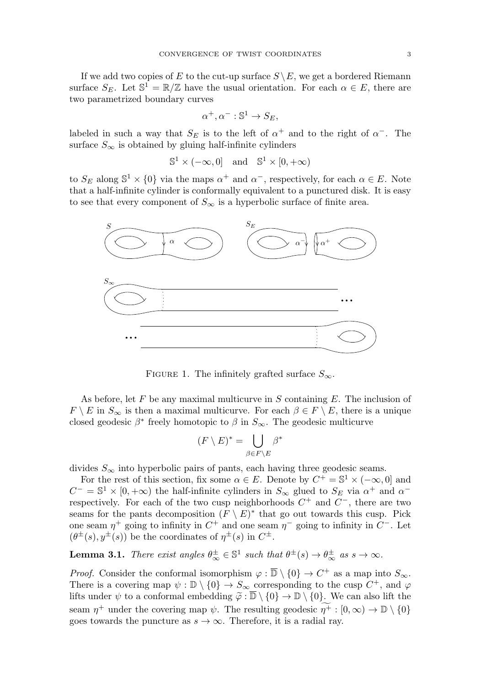If we add two copies of E to the cut-up surface  $S\setminus E$ , we get a bordered Riemann surface  $S_E$ . Let  $\mathbb{S}^1 = \mathbb{R}/\mathbb{Z}$  have the usual orientation. For each  $\alpha \in E$ , there are two parametrized boundary curves

$$
\alpha^+, \alpha^-: \mathbb{S}^1 \to S_E,
$$

labeled in such a way that  $S_E$  is to the left of  $\alpha^+$  and to the right of  $\alpha^-$ . The surface  $S_{\infty}$  is obtained by gluing half-infinite cylinders

$$
\mathbb{S}^1 \times (-\infty, 0] \quad \text{and} \quad \mathbb{S}^1 \times [0, +\infty)
$$

to  $S_E$  along  $\mathbb{S}^1 \times \{0\}$  via the maps  $\alpha^+$  and  $\alpha^-$ , respectively, for each  $\alpha \in E$ . Note that a half-infinite cylinder is conformally equivalent to a punctured disk. It is easy to see that every component of  $S_{\infty}$  is a hyperbolic surface of finite area.



FIGURE 1. The infinitely grafted surface  $S_{\infty}$ .

As before, let  $F$  be any maximal multicurve in  $S$  containing  $E$ . The inclusion of  $F \setminus E$  in  $S_{\infty}$  is then a maximal multicurve. For each  $\beta \in F \setminus E$ , there is a unique closed geodesic  $\beta^*$  freely homotopic to  $\beta$  in  $S_{\infty}$ . The geodesic multicurve

$$
(F\setminus E)^*=\bigcup_{\beta\in F\setminus E}\beta^*
$$

divides  $S_{\infty}$  into hyperbolic pairs of pants, each having three geodesic seams.

For the rest of this section, fix some  $\alpha \in E$ . Denote by  $C^+ = \mathbb{S}^1 \times (-\infty, 0]$  and  $C^- = \mathbb{S}^1 \times [0, +\infty)$  the half-infinite cylinders in  $S_\infty$  glued to  $S_E$  via  $\alpha^+$  and  $\alpha^$ respectively. For each of the two cusp neighborhoods  $C^+$  and  $C^-$ , there are two seams for the pants decomposition  $(F \setminus E)^*$  that go out towards this cusp. Pick one seam  $\eta^+$  going to infinity in  $C^+$  and one seam  $\eta^-$  going to infinity in  $C^-$ . Let  $(\theta^{\pm}(s), y^{\pm}(s))$  be the coordinates of  $\eta^{\pm}(s)$  in  $C^{\pm}$ .

<span id="page-2-0"></span>**Lemma 3.1.** There exist angles  $\theta_{\infty}^{\pm} \in \mathbb{S}^1$  such that  $\theta^{\pm}(s) \to \theta_{\infty}^{\pm}$  as  $s \to \infty$ .

*Proof.* Consider the conformal isomorphism  $\varphi : \overline{\mathbb{D}} \setminus \{0\} \to C^+$  as a map into  $S_{\infty}$ . There is a covering map  $\psi : \mathbb{D} \setminus \{0\} \to S_{\infty}$  corresponding to the cusp  $C^+$ , and  $\varphi$ lifts under  $\psi$  to a conformal embedding  $\widetilde{\varphi} : \overline{\mathbb{D}} \setminus \{0\} \to \mathbb{D} \setminus \{0\}$ . We can also lift the seam  $\eta^+$  under the covering map  $\psi$ . The resulting geodesic  $\eta^+ : [0, \infty) \to \mathbb{D} \setminus \{0\}$ goes towards the puncture as  $s \to \infty$ . Therefore, it is a radial ray.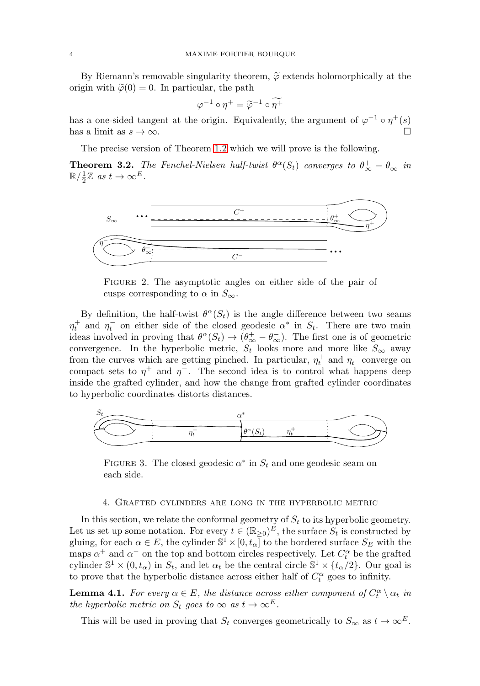By Riemann's removable singularity theorem,  $\tilde{\varphi}$  extends holomorphically at the origin with  $\tilde{\varphi}(0) = 0$ . In particular, the path

$$
\varphi^{-1} \circ \eta^+ = \widetilde{\varphi}^{-1} \circ \widetilde{\eta^+}
$$

has a one-sided tangent at the origin. Equivalently, the argument of  $\varphi^{-1} \circ \eta^{+}(s)$ has a limit as  $s \to \infty$ .

The precise version of Theorem [1.2](#page-1-0) which we will prove is the following.

<span id="page-3-1"></span>**Theorem 3.2.** The Fenchel-Nielsen half-twist  $\theta^{\alpha}(S_t)$  converges to  $\theta^{\pm}_{\infty} - \theta^-_{\infty}$  in  $\mathbb{R}/\frac{1}{2}\mathbb{Z}$  as  $t \to \infty^E$ .



FIGURE 2. The asymptotic angles on either side of the pair of cusps corresponding to  $\alpha$  in  $S_{\infty}$ .

By definition, the half-twist  $\theta^{\alpha}(S_t)$  is the angle difference between two seams  $\eta_t^+$  and  $\eta_t^-$  on either side of the closed geodesic  $\alpha^*$  in  $S_t$ . There are two main ideas involved in proving that  $\theta^{\alpha}(S_t) \to (\theta^+_{\infty} - \theta^-_{\infty})$ . The first one is of geometric convergence. In the hyperbolic metric,  $S_t$  looks more and more like  $S_{\infty}$  away from the curves which are getting pinched. In particular,  $\eta_t^+$  and  $\eta_t^-$  converge on compact sets to  $\eta^+$  and  $\eta^-$ . The second idea is to control what happens deep inside the grafted cylinder, and how the change from grafted cylinder coordinates to hyperbolic coordinates distorts distances.



FIGURE 3. The closed geodesic  $\alpha^*$  in  $S_t$  and one geodesic seam on each side.

### 4. Grafted cylinders are long in the hyperbolic metric

In this section, we relate the conformal geometry of  $S_t$  to its hyperbolic geometry. Let us set up some notation. For every  $t \in (\mathbb{R}_{\geq 0})^E$ , the surface  $S_t$  is constructed by gluing, for each  $\alpha \in E$ , the cylinder  $\mathbb{S}^1 \times [0, t_\alpha]$  to the bordered surface  $S_E$  with the maps  $\alpha^+$  and  $\alpha^-$  on the top and bottom circles respectively. Let  $C_t^{\alpha}$  be the grafted cylinder  $\mathbb{S}^1 \times (0, t_\alpha)$  in  $S_t$ , and let  $\alpha_t$  be the central circle  $\mathbb{S}^1 \times \{t_\alpha/2\}$ . Our goal is to prove that the hyperbolic distance across either half of  $C_t^{\alpha}$  goes to infinity.

<span id="page-3-0"></span>**Lemma 4.1.** For every  $\alpha \in E$ , the distance across either component of  $C_t^{\alpha} \setminus \alpha_t$  in the hyperbolic metric on  $S_t$  goes to  $\infty$  as  $t \to \infty^E$ .

This will be used in proving that  $S_t$  converges geometrically to  $S_{\infty}$  as  $t \to \infty^E$ .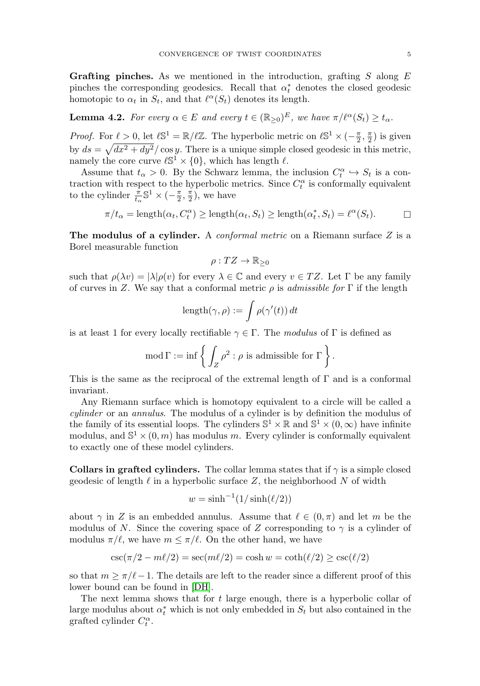Grafting pinches. As we mentioned in the introduction, grafting S along E pinches the corresponding geodesics. Recall that  $\alpha_t^*$  denotes the closed geodesic homotopic to  $\alpha_t$  in  $S_t$ , and that  $\ell^{\alpha}(S_t)$  denotes its length.

<span id="page-4-0"></span>**Lemma 4.2.** For every  $\alpha \in E$  and every  $t \in (\mathbb{R}_{\geq 0})^E$ , we have  $\pi/\ell^{\alpha}(S_t) \geq t_{\alpha}$ .

*Proof.* For  $\ell > 0$ , let  $\ell \mathbb{S}^1 = \mathbb{R}/\ell \mathbb{Z}$ . The hyperbolic metric on  $\ell \mathbb{S}^1 \times (-\frac{\pi}{2}, \frac{\pi}{2})$  is given by  $ds = \sqrt{dx^2 + dy^2}/\cos y$ . There is a unique simple closed geodesic in this metric, namely the core curve  $\mathbb{S}^1 \times \{0\}$ , which has length  $\ell$ .

Assume that  $t_{\alpha} > 0$ . By the Schwarz lemma, the inclusion  $C_t^{\alpha} \hookrightarrow S_t$  is a contraction with respect to the hyperbolic metrics. Since  $C_t^{\alpha}$  is conformally equivalent to the cylinder  $\frac{\pi}{t_{\alpha}} \mathbb{S}^1 \times (-\frac{\pi}{2}, \frac{\pi}{2})$ , we have

$$
\pi/t_{\alpha} = \text{length}(\alpha_t, C_t^{\alpha}) \ge \text{length}(\alpha_t, S_t) \ge \text{length}(\alpha_t^*, S_t) = \ell^{\alpha}(S_t). \qquad \Box
$$

**The modulus of a cylinder.** A *conformal metric* on a Riemann surface Z is a Borel measurable function

$$
\rho: TZ\to \mathbb{R}_{\geq 0}
$$

such that  $\rho(\lambda v) = |\lambda| \rho(v)$  for every  $\lambda \in \mathbb{C}$  and every  $v \in TZ$ . Let  $\Gamma$  be any family of curves in Z. We say that a conformal metric  $\rho$  is admissible for  $\Gamma$  if the length

$$
\operatorname{length}(\gamma,\rho):=\int \rho(\gamma'(t))\,dt
$$

is at least 1 for every locally rectifiable  $\gamma \in \Gamma$ . The modulus of  $\Gamma$  is defined as

$$
\operatorname{mod}\Gamma:=\inf\left\{\int_Z\rho^2:\rho\text{ is admissible for }\Gamma\right\}.
$$

This is the same as the reciprocal of the extremal length of  $\Gamma$  and is a conformal invariant.

Any Riemann surface which is homotopy equivalent to a circle will be called a cylinder or an annulus. The modulus of a cylinder is by definition the modulus of the family of its essential loops. The cylinders  $\mathbb{S}^1 \times \mathbb{R}$  and  $\mathbb{S}^1 \times (0, \infty)$  have infinite modulus, and  $\mathbb{S}^1 \times (0, m)$  has modulus m. Every cylinder is conformally equivalent to exactly one of these model cylinders.

**Collars in grafted cylinders.** The collar lemma states that if  $\gamma$  is a simple closed geodesic of length  $\ell$  in a hyperbolic surface Z, the neighborhood N of width

$$
w = \sinh^{-1}(1/\sinh(\ell/2))
$$

about  $\gamma$  in Z is an embedded annulus. Assume that  $\ell \in (0, \pi)$  and let m be the modulus of N. Since the covering space of Z corresponding to  $\gamma$  is a cylinder of modulus  $\pi/\ell$ , we have  $m \leq \pi/\ell$ . On the other hand, we have

$$
\csc(\pi/2 - m\ell/2) = \sec(m\ell/2) = \cosh w = \coth(\ell/2) \ge \csc(\ell/2)
$$

so that  $m \geq \pi/\ell-1$ . The details are left to the reader since a different proof of this lower bound can be found in [\[DH\]](#page-16-2).

The next lemma shows that for  $t$  large enough, there is a hyperbolic collar of large modulus about  $\alpha_t^*$  which is not only embedded in  $S_t$  but also contained in the grafted cylinder  $C_t^{\alpha}$ .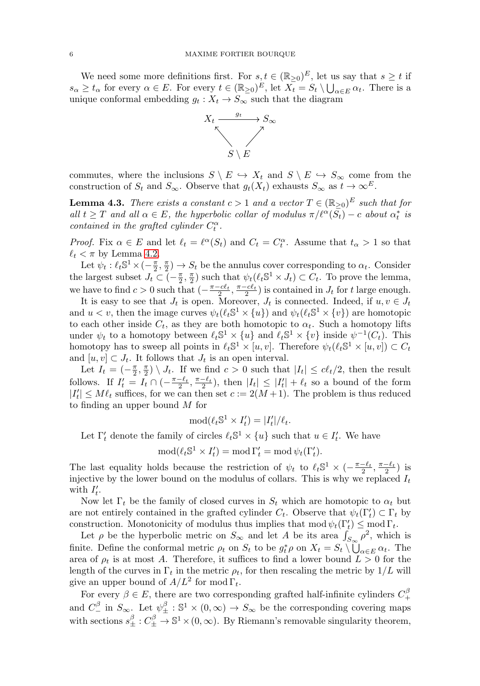We need some more definitions first. For  $s, t \in (\mathbb{R}_{\geq 0})^E$ , let us say that  $s \geq t$  if  $s_{\alpha} \geq t_{\alpha}$  for every  $\alpha \in E$ . For every  $t \in (\mathbb{R}_{\geq 0})^E$ , let  $X_t = S_t \setminus \bigcup_{\alpha \in E} \alpha_t$ . There is a unique conformal embedding  $g_t : X_t \to S_\infty$  such that the diagram



commutes, where the inclusions  $S \setminus E \hookrightarrow X_t$  and  $S \setminus E \hookrightarrow S_{\infty}$  come from the construction of  $S_t$  and  $S_{\infty}$ . Observe that  $g_t(X_t)$  exhausts  $S_{\infty}$  as  $t \to \infty^E$ .

<span id="page-5-0"></span>**Lemma 4.3.** There exists a constant  $c > 1$  and a vector  $T \in (\mathbb{R}_{\geq 0})^E$  such that for all  $t \geq T$  and all  $\alpha \in E$ , the hyperbolic collar of modulus  $\pi/\ell^{\alpha}(S_t) - c$  about  $\alpha_t^*$  is contained in the grafted cylinder  $C_t^{\alpha}$ .

*Proof.* Fix  $\alpha \in E$  and let  $\ell_t = \ell^{\alpha}(S_t)$  and  $C_t = C_t^{\alpha}$ . Assume that  $t_{\alpha} > 1$  so that  $\ell_t < \pi$  by Lemma [4.2.](#page-4-0)

Let  $\psi_t : \ell_t \mathbb{S}^1 \times (-\frac{\pi}{2}, \frac{\pi}{2}) \to S_t$  be the annulus cover corresponding to  $\alpha_t$ . Consider the largest subset  $J_t \subset (-\frac{\pi}{2}, \frac{\pi}{2})$  such that  $\psi_t(\ell_t \mathbb{S}^1 \times J_t) \subset C_t$ . To prove the lemma, we have to find  $c > 0$  such that  $\left(-\frac{\pi - c\ell_t}{2}, \frac{\pi - c\ell_t}{2}\right)$  is contained in  $J_t$  for t large enough.

It is easy to see that  $J_t$  is open. Moreover,  $J_t$  is connected. Indeed, if  $u, v \in J_t$ and  $u < v$ , then the image curves  $\psi_t(\ell_t \mathbb{S}^1 \times \{u\})$  and  $\psi_t(\ell_t \mathbb{S}^1 \times \{v\})$  are homotopic to each other inside  $C_t$ , as they are both homotopic to  $\alpha_t$ . Such a homotopy lifts under  $\psi_t$  to a homotopy between  $\ell_t\mathbb{S}^1 \times \{u\}$  and  $\ell_t\mathbb{S}^1 \times \{v\}$  inside  $\psi^{-1}(C_t)$ . This homotopy has to sweep all points in  $\ell_t\mathbb{S}^1 \times [u, v]$ . Therefore  $\psi_t(\ell_t\mathbb{S}^1 \times [u, v]) \subset C_t$ and  $[u, v] \subset J_t$ . It follows that  $J_t$  is an open interval.

Let  $I_t = \left(-\frac{\pi}{2}, \frac{\pi}{2}\right) \setminus J_t$ . If we find  $c > 0$  such that  $|I_t| \leq c\ell_t/2$ , then the result follows. If  $I'_t = I_t \cap \left(-\frac{\pi - \ell_t}{2}, \frac{\pi - \ell_t}{2}\right)$ , then  $|I_t| \leq |I'_t| + \ell_t$  so a bound of the form  $|I_t'| \leq M\ell_t$  suffices, for we can then set  $c := 2(M+1)$ . The problem is thus reduced to finding an upper bound M for

$$
\mathrm{mod}(\ell_t \mathbb{S}^1 \times I'_t) = |I'_t|/\ell_t.
$$

Let  $\Gamma'_t$  denote the family of circles  $\ell_t \mathbb{S}^1 \times \{u\}$  such that  $u \in I'_t$ . We have

$$
\operatorname{mod}(\ell_t \mathbb{S}^1 \times I'_t) = \operatorname{mod} \Gamma'_t = \operatorname{mod} \psi_t(\Gamma'_t).
$$

The last equality holds because the restriction of  $\psi_t$  to  $\ell_t \mathbb{S}^1 \times \left(-\frac{\pi-\ell_t}{2}, \frac{\pi-\ell_t}{2}\right)$  is injective by the lower bound on the modulus of collars. This is why we replaced  $I_t$ with  $I_t'$ .

Now let  $\Gamma_t$  be the family of closed curves in  $S_t$  which are homotopic to  $\alpha_t$  but are not entirely contained in the grafted cylinder  $C_t$ . Observe that  $\psi_t(\Gamma_t') \subset \Gamma_t$  by construction. Monotonicity of modulus thus implies that  $\text{mod } \psi_t(\Gamma_t') \leq \text{mod } \Gamma_t$ .

Let  $\rho$  be the hyperbolic metric on  $S_{\infty}$  and let A be its area  $\int_{S_{\infty}} \rho^2$ , which is finite. Define the conformal metric  $\rho_t$  on  $S_t$  to be  $g_t^*\rho$  on  $X_t = S_t \setminus \bigcup_{\alpha \in E} \alpha_t$ . The area of  $\rho_t$  is at most A. Therefore, it suffices to find a lower bound  $L > 0$  for the length of the curves in  $\Gamma_t$  in the metric  $\rho_t$ , for then rescaling the metric by  $1/L$  will give an upper bound of  $A/L^2$  for mod  $\Gamma_t$ .

For every  $\beta \in E$ , there are two corresponding grafted half-infinite cylinders  $C_+^{\beta}$ and  $C^{\beta}_{-}$  in  $S_{\infty}$ . Let  $\psi^{\beta}_{\pm} : \mathbb{S}^{1} \times (0, \infty) \to S_{\infty}$  be the corresponding covering maps with sections  $s_{\pm}^{\beta}: C_{\pm}^{\beta} \to \mathbb{S}^1 \times (0, \infty)$ . By Riemann's removable singularity theorem,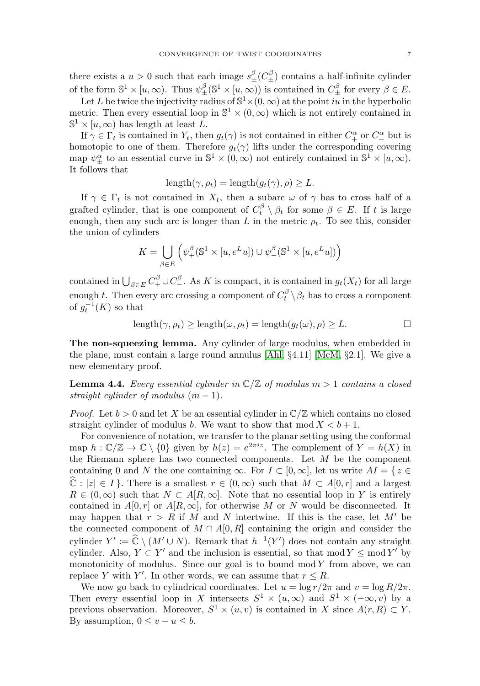there exists a  $u > 0$  such that each image  $s^{\beta}_{\pm}(C^{\beta}_{\pm})$  contains a half-infinite cylinder of the form  $\mathbb{S}^1 \times [u,\infty)$ . Thus  $\psi_{\pm}^{\beta}(\mathbb{S}^1 \times [u,\infty))$  is contained in  $C_{\pm}^{\beta}$  for every  $\beta \in E$ .

Let L be twice the injectivity radius of  $\mathbb{S}^1\times(0,\infty)$  at the point  $i\overline{u}$  in the hyperbolic metric. Then every essential loop in  $\mathbb{S}^1 \times (0,\infty)$  which is not entirely contained in  $\mathbb{S}^1 \times [u,\infty)$  has length at least L.

If  $\gamma \in \Gamma_t$  is contained in  $Y_t$ , then  $g_t(\gamma)$  is not contained in either  $C^{\alpha}_{+}$  or  $C^{\alpha}_{-}$  but is homotopic to one of them. Therefore  $g_t(\gamma)$  lifts under the corresponding covering map  $\psi_{\pm}^{\alpha}$  to an essential curve in  $\mathbb{S}^1 \times (0,\infty)$  not entirely contained in  $\mathbb{S}^1 \times [u,\infty)$ . It follows that

$$
length(\gamma, \rho_t) = length(g_t(\gamma), \rho) \ge L.
$$

If  $\gamma \in \Gamma_t$  is not contained in  $X_t$ , then a subarc  $\omega$  of  $\gamma$  has to cross half of a grafted cylinder, that is one component of  $C_t^{\beta} \setminus \beta_t$  for some  $\beta \in E$ . If t is large enough, then any such arc is longer than L in the metric  $\rho_t$ . To see this, consider the union of cylinders

$$
K = \bigcup_{\beta \in E} \left( \psi_+^\beta(\mathbb{S}^1 \times [u, e^L u]) \cup \psi_-^\beta(\mathbb{S}^1 \times [u, e^L u]) \right)
$$

contained in  $\bigcup_{\beta \in E} C^{\beta}_+ \cup C^{\beta}_-$ . As K is compact, it is contained in  $g_t(X_t)$  for all large enough t. Then every arc crossing a component of  $C_t^{\beta} \setminus \beta_t$  has to cross a component of  $g_t^{-1}(K)$  so that

$$
length(\gamma, \rho_t) \geq length(\omega, \rho_t) = length(g_t(\omega), \rho) \geq L.
$$

**The non-squeezing lemma.** Any cylinder of large modulus, when embedded in the plane, must contain a large round annulus [\[Ahl,](#page-16-3)  $\S 4.11$ ] [\[McM,](#page-17-2)  $\S 2.1$ ]. We give a new elementary proof.

<span id="page-6-0"></span>**Lemma 4.4.** Every essential cylinder in  $\mathbb{C}/\mathbb{Z}$  of modulus  $m > 1$  contains a closed straight cylinder of modulus  $(m-1)$ .

*Proof.* Let  $b > 0$  and let X be an essential cylinder in  $\mathbb{C}/\mathbb{Z}$  which contains no closed straight cylinder of modulus b. We want to show that  $mod X < b + 1$ .

For convenience of notation, we transfer to the planar setting using the conformal map  $h: \mathbb{C}/\mathbb{Z} \to \mathbb{C} \setminus \{0\}$  given by  $h(z) = e^{2\pi i z}$ . The complement of  $Y = h(X)$  in the Riemann sphere has two connected components. Let  $M$  be the component containing 0 and N the one containing  $\infty$ . For  $I \subset [0,\infty]$ , let us write  $AI = \{z \in$  $\hat{\mathbb{C}}$ :  $|z| \in I$ . There is a smallest  $r \in (0,\infty)$  such that  $M \subset A[0,r]$  and a largest  $R \in (0,\infty)$  such that  $N \subset A[R,\infty]$ . Note that no essential loop in Y is entirely contained in  $A[0, r]$  or  $A[R, \infty]$ , for otherwise M or N would be disconnected. It may happen that  $r>R$  if M and N intertwine. If this is the case, let M' be the connected component of  $M \cap A[0, R]$  containing the origin and consider the cylinder  $Y' := \widehat{\mathbb{C}} \setminus (M' \cup N)$ . Remark that  $h^{-1}(Y')$  does not contain any straight cylinder. Also,  $Y \subset Y'$  and the inclusion is essential, so that mod  $Y \leq \text{mod } Y'$  by monotonicity of modulus. Since our goal is to bound  $\text{mod } Y$  from above, we can replace Y with Y'. In other words, we can assume that  $r \leq R$ .

We now go back to cylindrical coordinates. Let  $u = \log r / 2\pi$  and  $v = \log R / 2\pi$ . Then every essential loop in X intersects  $S^1 \times (u,\infty)$  and  $S^1 \times (-\infty, v)$  by a previous observation. Moreover,  $S^1 \times (u, v)$  is contained in X since  $A(r, R) \subset Y$ . By assumption,  $0 \le v - u \le b$ .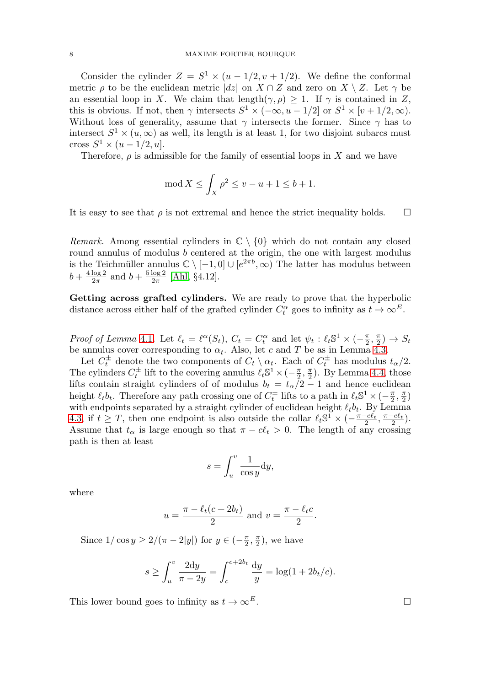Consider the cylinder  $Z = S^1 \times (u - 1/2, v + 1/2)$ . We define the conformal metric  $\rho$  to be the euclidean metric  $|dz|$  on  $X \cap Z$  and zero on  $X \setminus Z$ . Let  $\gamma$  be an essential loop in X. We claim that length $(\gamma, \rho) \geq 1$ . If  $\gamma$  is contained in Z, this is obvious. If not, then  $\gamma$  intersects  $S^1 \times (-\infty, u - 1/2]$  or  $S^1 \times [v + 1/2, \infty)$ . Without loss of generality, assume that  $\gamma$  intersects the former. Since  $\gamma$  has to intersect  $S^1 \times (u, \infty)$  as well, its length is at least 1, for two disjoint subarcs must cross  $S^1 \times (u - 1/2, u]$ .

Therefore,  $\rho$  is admissible for the family of essential loops in X and we have

$$
\operatorname{mod} X \le \int_X \rho^2 \le v - u + 1 \le b + 1.
$$

It is easy to see that  $\rho$  is not extremal and hence the strict inequality holds.  $\Box$ 

Remark. Among essential cylinders in  $\mathbb{C} \setminus \{0\}$  which do not contain any closed round annulus of modulus b centered at the origin, the one with largest modulus is the Teichmüller annulus  $\mathbb{C} \setminus [-1,0] \cup [e^{2\pi b},\infty)$  The latter has modulus between  $b + \frac{4 \log 2}{2 \pi}$  and  $b + \frac{5 \log 2}{2 \pi}$  [\[Ahl,](#page-16-3) §4.12].

**Getting across grafted cylinders.** We are ready to prove that the hyperbolic distance across either half of the grafted cylinder  $C_t^{\alpha}$  goes to infinity as  $t \to \infty^E$ .

Proof of Lemma [4.1](#page-3-0). Let  $\ell_t = \ell^{\alpha}(S_t)$ ,  $C_t = C_t^{\alpha}$  and let  $\psi_t : \ell_t \mathbb{S}^1 \times (-\frac{\pi}{2}, \frac{\pi}{2}) \to S_t$ be annulus cover corresponding to  $\alpha_t$ . Also, let c and T be as in Lemma [4.3.](#page-5-0)

Let  $C_t^{\pm}$  denote the two components of  $C_t \setminus \alpha_t$ . Each of  $C_t^{\pm}$  has modulus  $t_{\alpha}/2$ . The cylinders  $C_t^{\pm}$  lift to the covering annulus  $\ell_t \mathbb{S}^1 \times (-\frac{\pi}{2}, \frac{\pi}{2})$ . By Lemma [4.4,](#page-6-0) those lifts contain straight cylinders of of modulus  $b_t = t_\alpha/2 - 1$  and hence euclidean height  $\ell_t b_t$ . Therefore any path crossing one of  $C_t^{\pm}$  lifts to a path in  $\ell_t \mathbb{S}^1 \times (-\frac{\pi}{2}, \frac{\pi}{2})$ with endpoints separated by a straight cylinder of euclidean height  $\ell_t b_t$ . By Lemma [4.3,](#page-5-0) if  $t \geq T$ , then one endpoint is also outside the collar  $\ell_t \mathbb{S}^1 \times \left(-\frac{\pi - c\ell_t}{2}, \frac{\pi - c\ell_t}{2}\right)$ . Assume that  $t_{\alpha}$  is large enough so that  $\pi - c\ell_t > 0$ . The length of any crossing path is then at least

$$
s = \int_u^v \frac{1}{\cos y} \mathrm{d}y,
$$

where

$$
u = \frac{\pi - \ell_t(c + 2b_t)}{2}
$$
 and 
$$
v = \frac{\pi - \ell_t c}{2}.
$$

Since  $1/\cos y \ge 2/(\pi - 2|y|)$  for  $y \in \left(-\frac{\pi}{2}, \frac{\pi}{2}\right)$ , we have

$$
s \ge \int_u^v \frac{2dy}{\pi - 2y} = \int_c^{c+2b_t} \frac{dy}{y} = \log(1 + 2b_t/c).
$$

This lower bound goes to infinity as  $t \to \infty^E$ .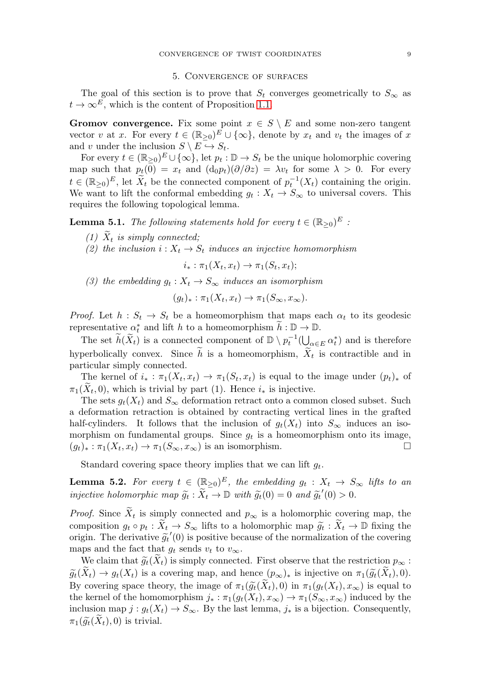## 5. Convergence of surfaces

<span id="page-8-0"></span>The goal of this section is to prove that  $S_t$  converges geometrically to  $S_{\infty}$  as  $t \to \infty^E$ , which is the content of Proposition [1.1.](#page-0-0)

**Gromov convergence.** Fix some point  $x \in S \setminus E$  and some non-zero tangent vector v at x. For every  $t \in (\mathbb{R}_{\geq 0})^E \cup \{\infty\}$ , denote by  $x_t$  and  $v_t$  the images of x and v under the inclusion  $S \setminus \overline{E} \hookrightarrow S_t$ .

For every  $t \in (\mathbb{R}_{\geq 0})^E \cup \{\infty\}$ , let  $p_t : \mathbb{D} \to S_t$  be the unique holomorphic covering map such that  $p_t(0) = x_t$  and  $(d_0p_t)(\partial/\partial z) = \lambda v_t$  for some  $\lambda > 0$ . For every  $t \in (\mathbb{R}_{\geq 0})^E$ , let  $\tilde{X}_t$  be the connected component of  $p_t^{-1}(X_t)$  containing the origin. We want to lift the conformal embedding  $g_t : X_t \to S_\infty$  to universal covers. This requires the following topological lemma.

<span id="page-8-1"></span>**Lemma 5.1.** The following statements hold for every  $t \in (\mathbb{R}_{\geq 0})^E$ :

(1)  $\widetilde{X}_t$  is simply connected;

(2) the inclusion  $i: X_t \to S_t$  induces an injective homomorphism

 $i_* : \pi_1(X_t, x_t) \to \pi_1(S_t, x_t);$ 

(3) the embedding  $g_t : X_t \to S_\infty$  induces an isomorphism

 $(q_t)_*: \pi_1(X_t, x_t) \to \pi_1(S_{\infty}, x_{\infty}).$ 

*Proof.* Let  $h : S_t \to S_t$  be a homeomorphism that maps each  $\alpha_t$  to its geodesic representative  $\alpha_t^*$  and lift h to a homeomorphism  $\widetilde{h}: \mathbb{D} \to \mathbb{D}$ .

The set  $\widetilde{h}(\widetilde{X}_t)$  is a connected component of  $\mathbb{D} \setminus p_t^{-1}(\bigcup_{\alpha \in E} \alpha_t^*)$  and is therefore hyperbolically convex. Since  $h$  is a homeomorphism,  $X_t$  is contractible and in particular simply connected.

The kernel of  $i_* : \pi_1(X_t, x_t) \to \pi_1(S_t, x_t)$  is equal to the image under  $(p_t)_*$  of  $\pi_1(X_t, 0)$ , which is trivial by part (1). Hence  $i_*$  is injective.

The sets  $g_t(X_t)$  and  $S_{\infty}$  deformation retract onto a common closed subset. Such a deformation retraction is obtained by contracting vertical lines in the grafted half-cylinders. It follows that the inclusion of  $g_t(X_t)$  into  $S_{\infty}$  induces an isomorphism on fundamental groups. Since  $g_t$  is a homeomorphism onto its image,  $(g_t)_*: \pi_1(X_t, x_t) \to \pi_1(S_{\infty}, x_{\infty})$  is an isomorphism.

Standard covering space theory implies that we can lift  $g_t$ .

**Lemma 5.2.** For every  $t \in (\mathbb{R}_{\geq 0})^E$ , the embedding  $g_t : X_t \to S_\infty$  lifts to an injective holomorphic map  $\tilde{g}_t : \tilde{X}_t \to \mathbb{D}$  with  $\tilde{g}_t(0) = 0$  and  $\tilde{g}_t'(0) > 0$ .

*Proof.* Since  $\tilde{X}_t$  is simply connected and  $p_{\infty}$  is a holomorphic covering map, the composition  $g_t \circ p_t : \tilde{X}_t \to S_\infty$  lifts to a holomorphic map  $\tilde{g}_t : \tilde{X}_t \to \mathbb{D}$  fixing the origin. The derivative  $\tilde{g}_t'(0)$  is positive because of the normalization of the covering maps and the fact that  $g_t$  sends  $v_t$  to  $v_\infty$ .

We claim that  $\tilde{g}_t(X_t)$  is simply connected. First observe that the restriction  $p_{\infty}$ :  $\widetilde{g}_t(X_t) \to g_t(X_t)$  is a covering map, and hence  $(p_\infty)_*$  is injective on  $\pi_1(\widetilde{g}_t(X_t), 0)$ . By covering space theory, the image of  $\pi_1(\widetilde{g}_t(X_t), 0)$  in  $\pi_1(g_t(X_t), x_\infty)$  is equal to the kernel of the homomorphism  $j_* : \pi_1(g_t(X_t), x_\infty) \to \pi_1(S_\infty, x_\infty)$  induced by the inclusion map  $j : g_t(X_t) \to S_\infty$ . By the last lemma,  $j_*$  is a bijection. Consequently,  $\pi_1(\widetilde{q}_t(X_t), 0)$  is trivial.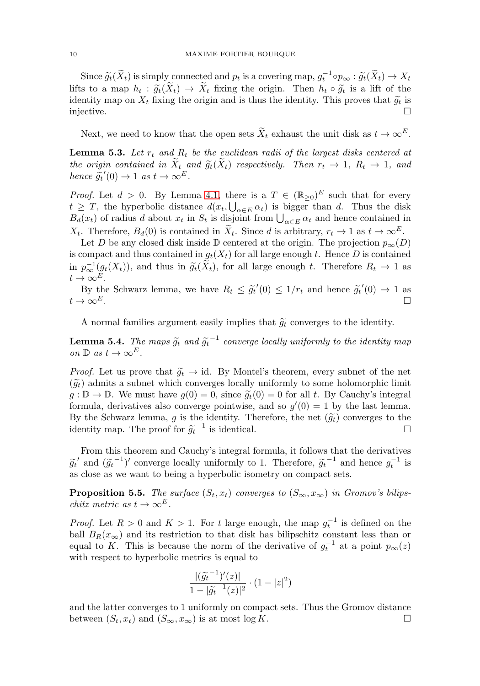Since  $\widetilde{g}_t(\widetilde{X}_t)$  is simply connected and  $p_t$  is a covering map,  $g_t^{-1} \circ p_\infty : \widetilde{g}_t(\widetilde{X}_t) \to X_t$ lifts to a map  $h_t : \tilde{g}_t(\tilde{X}_t) \to \tilde{X}_t$  fixing the origin. Then  $h_t \circ \tilde{g}_t$  is a lift of the identity map on  $X_t$  fixing the origin and is thus the identity. This proves that  $\tilde{g}_t$  is injective. injective.  $\Box$ 

Next, we need to know that the open sets  $\tilde{X}_t$  exhaust the unit disk as  $t \to \infty^E$ .

<span id="page-9-0"></span>**Lemma 5.3.** Let  $r_t$  and  $R_t$  be the euclidean radii of the largest disks centered at the origin contained in  $\widetilde{X}_t$  and  $\widetilde{g}_t(\widetilde{X}_t)$  respectively. Then  $r_t \to 1$ ,  $R_t \to 1$ , and hence  $\tilde{g_t}'(0) \to 1$  as  $t \to \infty^E$ .

*Proof.* Let  $d > 0$ . By Lemma [4.1,](#page-3-0) there is a  $T \in (\mathbb{R}_{\geq 0})^E$  such that for every  $t \geq T$ , the hyperbolic distance  $d(x_t, \bigcup_{\alpha \in E} \alpha_t)$  is bigger than d. Thus the disk  $B_d(x_t)$  of radius d about  $x_t$  in  $S_t$  is disjoint from  $\bigcup_{\alpha \in E} \alpha_t$  and hence contained in  $X_t$ . Therefore,  $B_d(0)$  is contained in  $\tilde{X}_t$ . Since d is arbitrary,  $r_t \to 1$  as  $t \to \infty^E$ .

Let D be any closed disk inside D centered at the origin. The projection  $p_{\infty}(D)$ is compact and thus contained in  $g_t(X_t)$  for all large enough t. Hence D is contained in  $p_{\infty}^{-1}(g_t(X_t))$ , and thus in  $\widetilde{g}_t(X_t)$ , for all large enough t. Therefore  $R_t \to 1$  as  $t \to \infty^E$ .

By the Schwarz lemma, we have  $R_t \leq \tilde{g}_t'(0) \leq 1/r_t$  and hence  $\tilde{g}_t'(0) \to 1$  as  $t \to \infty^E$ .

A normal families argument easily implies that  $\tilde{g}_t$  converges to the identity.

<span id="page-9-1"></span>**Lemma 5.4.** The maps  $\widetilde{g}_t$  and  $\widetilde{g}_t^{-1}$  converge locally uniformly to the identity map on  $\mathbb{D}$  as  $t \to \infty^E$ .

*Proof.* Let us prove that  $\tilde{g}_t \to id$ . By Montel's theorem, every subnet of the net  $(\widetilde{g}_t)$  admits a subnet which converges locally uniformly to some holomorphic limit  $g: \mathbb{D} \to \mathbb{D}$ . We must have  $g(0) = 0$ , since  $\widetilde{g}_t(0) = 0$  for all t. By Cauchy's integral formula, derivatives also converge pointwise, and so  $g'(0) = 1$  by the last lemma. By the Schwarz lemma, g is the identity. Therefore, the net  $(\tilde{g}_t)$  converges to the identity map. The proof for  $\tilde{a}_t^{-1}$  is identical. identity map. The proof for  $\tilde{g}_t^{-1}$  is identical.  $\Box$ 

From this theorem and Cauchy's integral formula, it follows that the derivatives  $\widetilde{g}_t'$  and  $(\widetilde{g}_t^{-1})'$  converge locally uniformly to 1. Therefore,  $\widetilde{g}_t^{-1}$  and hence  $g_t^{-1}$  is as close as we want to being a hyperbolic isometry on compact sets.

**Proposition 5.5.** The surface  $(S_t, x_t)$  converges to  $(S_\infty, x_\infty)$  in Gromov's bilipschitz metric as  $t \to \infty^E$ .

*Proof.* Let  $R > 0$  and  $K > 1$ . For t large enough, the map  $g_t^{-1}$  is defined on the ball  $B_R(x_\infty)$  and its restriction to that disk has bilipschitz constant less than or equal to K. This is because the norm of the derivative of  $g_t^{-1}$  at a point  $p_{\infty}(z)$ with respect to hyperbolic metrics is equal to

$$
\frac{|(\widetilde{g}_t^{-1})'(z)|}{1-|\widetilde{g}_t^{-1}(z)|^2} \cdot (1-|z|^2)
$$

and the latter converges to 1 uniformly on compact sets. Thus the Gromov distance between  $(S_t, x_t)$  and  $(S_{\infty}, x_{\infty})$  is at most log K.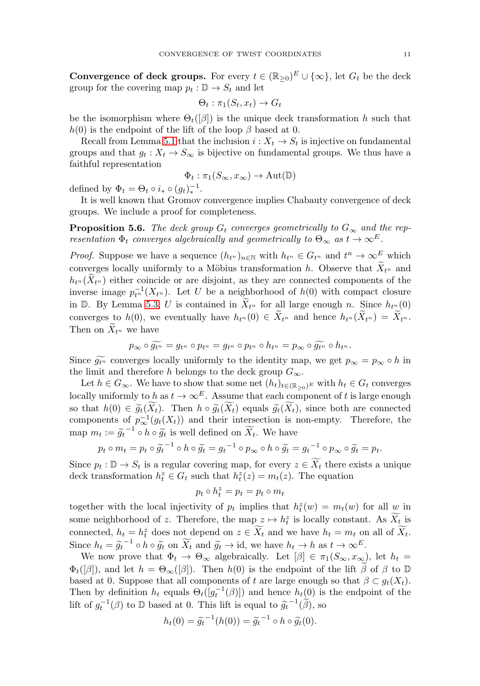**Convergence of deck groups.** For every  $t \in (\mathbb{R}_{\geq 0})^E \cup \{\infty\}$ , let  $G_t$  be the deck group for the covering map  $p_t : \mathbb{D} \to S_t$  and let

$$
\Theta_t : \pi_1(S_t, x_t) \to G_t
$$

be the isomorphism where  $\Theta_t(\beta)$  is the unique deck transformation h such that  $h(0)$  is the endpoint of the lift of the loop  $\beta$  based at 0.

Recall from Lemma [5.1](#page-8-1) that the inclusion  $i: X_t \to S_t$  is injective on fundamental groups and that  $g_t : X_t \to S_\infty$  is bijective on fundamental groups. We thus have a faithful representation

$$
\Phi_t: \pi_1(S_\infty, x_\infty) \to \operatorname{Aut}(\mathbb{D})
$$

defined by  $\Phi_t = \Theta_t \circ i_* \circ (g_t)_*^{-1}$ .

It is well known that Gromov convergence implies Chabauty convergence of deck groups. We include a proof for completeness.

<span id="page-10-0"></span>**Proposition 5.6.** The deck group  $G_t$  converges geometrically to  $G_\infty$  and the representation  $\Phi_t$  converges algebraically and geometrically to  $\Theta_{\infty}$  as  $t \to \infty^E$ .

*Proof.* Suppose we have a sequence  $(h_{t^n})_{n \in \mathbb{N}}$  with  $h_{t^n} \in G_{t^n}$  and  $t^n \to \infty^E$  which converges locally uniformly to a Möbius transformation h. Observe that  $\tilde{X}_{t^n}$  and  $h_{t^n}(\tilde{X}_{t^n})$  either coincide or are disjoint, as they are connected components of the inverse image  $p_{t_n}^{-1}(X_{t_n})$ . Let U be a neighborhood of  $h(0)$  with compact closure in D. By Lemma [5.3,](#page-9-0) U is contained in  $\widetilde{X}_{t_n}$  for all large enough n. Since  $h_{t_n}(0)$ converges to  $h(0)$ , we eventually have  $h_{t_n}(0) \in \widetilde{X}_{t_n}$  and hence  $h_{t_n}(\widetilde{X}_{t_n}) = \widetilde{X}_{t_n}$ . Then on  $X_{t^n}$  we have

$$
p_{\infty} \circ \widetilde{g_{t^n}} = g_{t^n} \circ p_{t^n} = g_{t^n} \circ p_{t^n} \circ h_{t^n} = p_{\infty} \circ \widetilde{g_{t^n}} \circ h_{t^n}.
$$

Since  $\widetilde{g_{t^n}}$  converges locally uniformly to the identity map, we get  $p_\infty = p_\infty \circ h$  in the limit and therefore h belongs to the deck group  $G_{\infty}$ .

Let  $h \in G_{\infty}$ . We have to show that some net  $(h_t)_{t \in (\mathbb{R}_{\geq 0})^E}$  with  $h_t \in G_t$  converges locally uniformly to h as  $t \to \infty^E$ . Assume that each component of t is large enough so that  $h(0) \in \widetilde{g}_t(X_t)$ . Then  $h \circ \widetilde{g}_t(X_t)$  equals  $\widetilde{g}_t(X_t)$ , since both are connected components of  $p_{\infty}^{-1}(g_t(X_t))$  and their intersection is non-empty. Therefore, the map  $m_t := \tilde{g}_t^{-1} \circ h \circ \tilde{g}_t$  is well defined on  $\widetilde{X}_t$ . We have

$$
p_t \circ m_t = p_t \circ \widetilde{g_t}^{-1} \circ h \circ \widetilde{g_t} = g_t^{-1} \circ p_{\infty} \circ h \circ \widetilde{g_t} = g_t^{-1} \circ p_{\infty} \circ \widetilde{g_t} = p_t.
$$

Since  $p_t : \mathbb{D} \to S_t$  is a regular covering map, for every  $z \in \widetilde{X_t}$  there exists a unique deck transformation  $h_t^z \in G_t$  such that  $h_t^z(z) = m_t(z)$ . The equation

$$
p_t \circ h_t^z = p_t = p_t \circ m_t
$$

together with the local injectivity of  $p_t$  implies that  $h_t^z(w) = m_t(w)$  for all w in some neighborhood of z. Therefore, the map  $z \mapsto h_t^z$  is locally constant. As  $\widetilde{X}_t$  is connected,  $h_t = h_t^z$  does not depend on  $z \in \overline{X}_t$  and we have  $h_t = m_t$  on all of  $\overline{X}_t$ . Since  $h_t = \widetilde{g_t}^{-1} \circ h \circ \widetilde{g_t}$  on  $\widetilde{X_t}$  and  $\widetilde{g_t} \to id$ , we have  $h_t \to h$  as  $t \to \infty^E$ .

We now prove that  $\Phi_t \to \Theta_\infty$  algebraically. Let  $[\beta] \in \pi_1(S_\infty, x_\infty)$ , let  $h_t =$  $\Phi_t([\beta])$ , and let  $h = \Theta_\infty([\beta])$ . Then  $h(0)$  is the endpoint of the lift  $\beta$  of  $\beta$  to  $\mathbb D$ based at 0. Suppose that all components of t are large enough so that  $\beta \subset g_t(X_t)$ . Then by definition  $h_t$  equals  $\Theta_t([g_t^{-1}(\beta)])$  and hence  $h_t(0)$  is the endpoint of the lift of  $g_t^{-1}(\beta)$  to  $\mathbb D$  based at 0. This lift is equal to  $\tilde{g}_t^{-1}(\tilde{\beta})$ , so

$$
h_t(0) = \widetilde{g_t}^{-1}(h(0)) = \widetilde{g_t}^{-1} \circ h \circ \widetilde{g_t}(0).
$$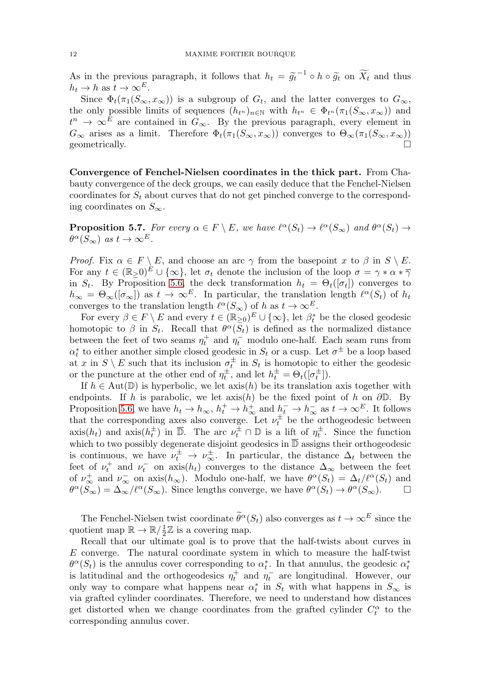As in the previous paragraph, it follows that  $h_t = \tilde{g_t}^{-1} \circ h \circ \tilde{g_t}$  on  $\widetilde{X_t}$  and thus  $h_t \to h$  as  $t \to \infty^E$ .

Since  $\Phi_t(\pi_1(S_\infty, x_\infty))$  is a subgroup of  $G_t$ , and the latter converges to  $G_\infty$ , the only possible limits of sequences  $(h_{t^n})_{n\in\mathbb{N}}$  with  $h_{t^n} \in \Phi_{t^n}(\pi_1(S_\infty, x_\infty))$  and  $t^{n} \to \infty^{E}$  are contained in  $G_{\infty}$ . By the previous paragraph, every element in  $G_{\infty}$  arises as a limit. Therefore  $\Phi_t(\pi_1(S_{\infty}, x_{\infty}))$  converges to  $\Theta_{\infty}(\pi_1(S_{\infty}, x_{\infty}))$ geometrically.  $\Box$ 

**Convergence of Fenchel-Nielsen coordinates in the thick part.** From Chabauty convergence of the deck groups, we can easily deduce that the Fenchel-Nielsen coordinates for  $S_t$  about curves that do not get pinched converge to the corresponding coordinates on  $S_{\infty}$ .

<span id="page-11-0"></span>**Proposition 5.7.** For every  $\alpha \in F \setminus E$ , we have  $\ell^{\alpha}(S_t) \to \ell^{\alpha}(S_{\infty})$  and  $\theta^{\alpha}(S_t) \to$  $\theta^{\alpha}(S_{\infty})$  as  $t \to \infty^{E}$ .

*Proof.* Fix  $\alpha \in F \setminus E$ , and choose an arc  $\gamma$  from the basepoint x to  $\beta$  in  $S \setminus E$ . For any  $t \in (\mathbb{R}_{\geq}0)^E \cup \{\infty\}$ , let  $\sigma_t$  denote the inclusion of the loop  $\sigma = \gamma * \alpha * \overline{\gamma}$ in  $S_t$ . By Proposition [5.6,](#page-10-0) the deck transformation  $h_t = \Theta_t([\sigma_t])$  converges to  $h_{\infty} = \Theta_{\infty}([\sigma_{\infty}])$  as  $t \to \infty^E$ . In particular, the translation length  $\ell^{\alpha}(S_t)$  of  $h_t$ converges to the translation length  $\ell^{\alpha}(S_{\infty})$  of h as  $t \to \infty^{E}$ .

For every  $\beta \in F \setminus E$  and every  $t \in (\mathbb{R}_{\geq 0})^E \cup \{\infty\}$ , let  $\beta_t^*$  be the closed geodesic homotopic to  $\beta$  in  $S_t$ . Recall that  $\theta^{\alpha}(\bar{S}_t)$  is defined as the normalized distance between the feet of two seams  $\eta_t^+$  and  $\eta_t^-$  modulo one-half. Each seam runs from  $\alpha_t^*$  to either another simple closed geodesic in  $S_t$  or a cusp. Let  $\sigma^{\pm}$  be a loop based at x in  $S \setminus E$  such that its inclusion  $\sigma_t^{\pm}$  in  $S_t$  is homotopic to either the geodesic or the puncture at the other end of  $\eta_t^{\pm}$ , and let  $h_t^{\pm} = \Theta_t([\sigma_t^{\pm}]).$ 

If  $h \in \text{Aut}(\mathbb{D})$  is hyperbolic, we let  $\text{axis}(h)$  be its translation axis together with endpoints. If h is parabolic, we let  $axis(h)$  be the fixed point of h on  $\partial \mathbb{D}$ . By Proposition [5.6,](#page-10-0) we have  $h_t \to h_\infty$ ,  $h_t^+ \to h_\infty^+$  and  $h_t^- \to h_\infty^-$  as  $t \to \infty^E$ . It follows that the corresponding axes also converge. Let  $\nu_t^{\pm}$  be the orthogeodesic between  $axis(h_t)$  and  $axis(h_t^{\pm})$  in  $\overline{\mathbb{D}}$ . The arc  $\nu_t^{\pm} \cap \mathbb{D}$  is a lift of  $\eta_t^{\pm}$ . Since the function which to two possibly degenerate disjoint geodesics in  $\overline{D}$  assigns their orthogeodesic is continuous, we have  $\nu_t^{\pm} \to \nu_{\infty}^{\pm}$ . In particular, the distance  $\Delta_t$  between the feet of  $\nu_t^+$  and  $\nu_t^-$  on  $\operatorname{axis}(h_t)$  converges to the distance  $\Delta_{\infty}$  between the feet of  $\nu_{\infty}^{+}$  and  $\nu_{\infty}^{-}$  on axis $(h_{\infty})$ . Modulo one-half, we have  $\theta^{\alpha}(S_t) = \Delta_t/\ell^{\alpha}(S_t)$  and  $\theta^{\alpha}(S_{\infty})=\Delta_{\infty}/\ell^{\alpha}(S_{\infty}).$  Since lengths converge, we have  $\theta^{\alpha}(S_t) \to \theta^{\alpha}(S_{\infty}).$   $\Box$ 

The Fenchel-Nielsen twist coordinate  $\tilde{\theta}^{\alpha}(S_t)$  also converges as  $t \to \infty^E$  since the quotient map  $\mathbb{R} \to \mathbb{R}/\frac{1}{2}\mathbb{Z}$  is a covering map.

Recall that our ultimate goal is to prove that the half-twists about curves in E converge. The natural coordinate system in which to measure the half-twist  $\theta^{\alpha}(S_t)$  is the annulus cover corresponding to  $\alpha_t^*$ . In that annulus, the geodesic  $\alpha_t^*$ is latitudinal and the orthogeodesics  $\eta_t^+$  and  $\eta_t^-$  are longitudinal. However, our only way to compare what happens near  $\alpha_t^*$  in  $S_t$  with what happens in  $S_{\infty}$  is via grafted cylinder coordinates. Therefore, we need to understand how distances get distorted when we change coordinates from the grafted cylinder  $C_t^{\alpha}$  to the corresponding annulus cover.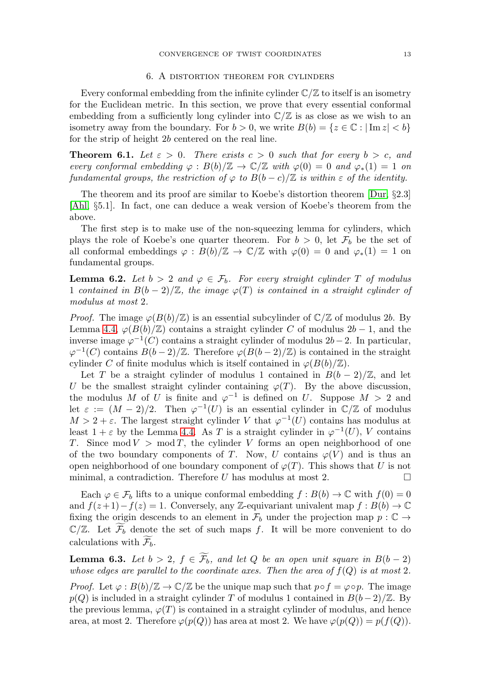### 6. A distortion theorem for cylinders

Every conformal embedding from the infinite cylinder  $\mathbb{C}/\mathbb{Z}$  to itself is an isometry for the Euclidean metric. In this section, we prove that every essential conformal embedding from a sufficiently long cylinder into  $\mathbb{C}/\mathbb{Z}$  is as close as we wish to an isometry away from the boundary. For  $b > 0$ , we write  $B(b) = \{z \in \mathbb{C} : |\text{Im } z| < b\}$ for the strip of height 2b centered on the real line.

<span id="page-12-0"></span>**Theorem 6.1.** Let  $\varepsilon > 0$ . There exists  $c > 0$  such that for every  $b > c$ , and every conformal embedding  $\varphi : B(b)/\mathbb{Z} \to \mathbb{C}/\mathbb{Z}$  with  $\varphi(0) = 0$  and  $\varphi_*(1) = 1$  on fundamental groups, the restriction of  $\varphi$  to  $B(b-c)/\mathbb{Z}$  is within  $\varepsilon$  of the identity.

The theorem and its proof are similar to Koebe's distortion theorem [\[Dur,](#page-16-4)  $\S 2.3$ ] [\[Ahl,](#page-16-3) §5.1]. In fact, one can deduce a weak version of Koebe's theorem from the above.

The first step is to make use of the non-squeezing lemma for cylinders, which plays the role of Koebe's one quarter theorem. For  $b > 0$ , let  $\mathcal{F}_b$  be the set of all conformal embeddings  $\varphi : B(b)/\mathbb{Z} \to \mathbb{C}/\mathbb{Z}$  with  $\varphi(0) = 0$  and  $\varphi_*(1) = 1$  on fundamental groups.

**Lemma 6.2.** Let  $b > 2$  and  $\varphi \in \mathcal{F}_b$ . For every straight cylinder T of modulus 1 contained in  $B(b-2)/\mathbb{Z}$ , the image  $\varphi(T)$  is contained in a straight cylinder of modulus at most 2.

*Proof.* The image  $\varphi(B(b)/\mathbb{Z})$  is an essential subcylinder of  $\mathbb{C}/\mathbb{Z}$  of modulus 2b. By Lemma [4.4,](#page-6-0)  $\varphi(B(b)/\mathbb{Z})$  contains a straight cylinder C of modulus  $2b-1$ , and the inverse image  $\varphi^{-1}(C)$  contains a straight cylinder of modulus  $2b-2$ . In particular,  $\varphi^{-1}(C)$  contains  $B(b-2)/\mathbb{Z}$ . Therefore  $\varphi(B(b-2)/\mathbb{Z})$  is contained in the straight cylinder C of finite modulus which is itself contained in  $\varphi(B(b)/\mathbb{Z})$ .

Let T be a straight cylinder of modulus 1 contained in  $B(b-2)/\mathbb{Z}$ , and let U be the smallest straight cylinder containing  $\varphi(T)$ . By the above discussion, the modulus M of U is finite and  $\varphi^{-1}$  is defined on U. Suppose  $M > 2$  and let  $\varepsilon := (M-2)/2$ . Then  $\varphi^{-1}(U)$  is an essential cylinder in  $\mathbb{C}/\mathbb{Z}$  of modulus  $M > 2 + \varepsilon$ . The largest straight cylinder V that  $\varphi^{-1}(U)$  contains has modulus at least  $1 + \varepsilon$  by the Lemma [4.4.](#page-6-0) As T is a straight cylinder in  $\varphi^{-1}(U)$ , V contains T. Since mod  $V > \text{mod } T$ , the cylinder V forms an open neighborhood of one of the two boundary components of T. Now, U contains  $\varphi(V)$  and is thus an open neighborhood of one boundary component of  $\varphi(T)$ . This shows that U is not minimal, a contradiction. Therefore U has modulus at most 2.  $\Box$ 

Each  $\varphi \in \mathcal{F}_b$  lifts to a unique conformal embedding  $f : B(b) \to \mathbb{C}$  with  $f(0) = 0$ and  $f(z+1)-f(z) = 1$ . Conversely, any Z-equivariant univalent map  $f : B(b) \to \mathbb{C}$ fixing the origin descends to an element in  $\mathcal{F}_b$  under the projection map  $p : \mathbb{C} \to$  $\mathbb{C}/\mathbb{Z}$ . Let  $\widetilde{\mathcal{F}}_b$  denote the set of such maps f. It will be more convenient to do calculations with  $\mathcal{F}_b$ .

**Lemma 6.3.** Let  $b > 2$ ,  $f \in \mathcal{F}_b$ , and let Q be an open unit square in  $B(b-2)$ whose edges are parallel to the coordinate axes. Then the area of  $f(Q)$  is at most 2.

*Proof.* Let  $\varphi : B(b)/\mathbb{Z} \to \mathbb{C}/\mathbb{Z}$  be the unique map such that  $p \circ f = \varphi \circ p$ . The image  $p(Q)$  is included in a straight cylinder T of modulus 1 contained in  $B(b-2)/\mathbb{Z}$ . By the previous lemma,  $\varphi(T)$  is contained in a straight cylinder of modulus, and hence area, at most 2. Therefore  $\varphi(p(Q))$  has area at most 2. We have  $\varphi(p(Q)) = p(f(Q))$ .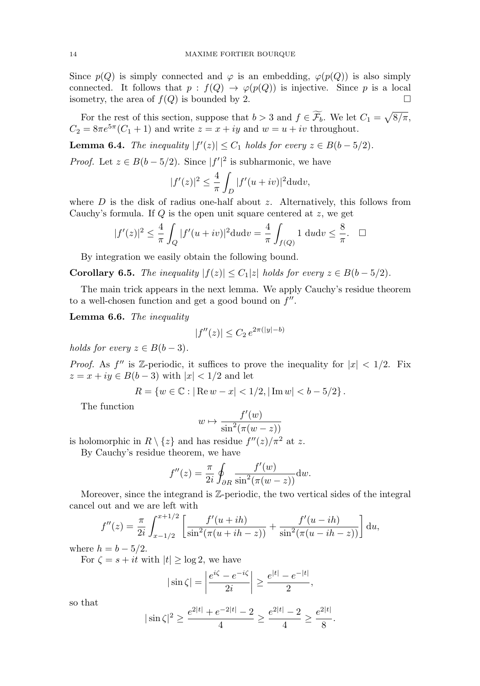Since  $p(Q)$  is simply connected and  $\varphi$  is an embedding,  $\varphi(p(Q))$  is also simply connected. It follows that  $p : f(Q) \to \varphi(p(Q))$  is injective. Since p is a local isometry, the area of  $f(Q)$  is bounded by 2.

For the rest of this section, suppose that  $b > 3$  and  $f \in \widetilde{\mathcal{F}}_b$ . We let  $C_1 = \sqrt{8/\pi}$ ,  $C_2 = 8\pi e^{5\pi} (C_1 + 1)$  and write  $z = x + iy$  and  $w = u + iv$  throughout.

<span id="page-13-0"></span>**Lemma 6.4.** The inequality  $|f'(z)| \leq C_1$  holds for every  $z \in B(b-5/2)$ .

*Proof.* Let  $z \in B(b-5/2)$ . Since  $|f'|^2$  is subharmonic, we have

$$
|f'(z)|^2 \le \frac{4}{\pi} \int_D |f'(u+iv)|^2 \mathrm{d}u \mathrm{d}v,
$$

where  $D$  is the disk of radius one-half about  $z$ . Alternatively, this follows from Cauchy's formula. If  $Q$  is the open unit square centered at  $z$ , we get

$$
|f'(z)|^2 \le \frac{4}{\pi} \int_Q |f'(u+iv)|^2 du dv = \frac{4}{\pi} \int_{f(Q)} 1 du dv \le \frac{8}{\pi}.
$$

By integration we easily obtain the following bound.

<span id="page-13-1"></span>**Corollary 6.5.** The inequality  $|f(z)| \leq C_1 |z|$  holds for every  $z \in B(b-5/2)$ .

The main trick appears in the next lemma. We apply Cauchy's residue theorem to a well-chosen function and get a good bound on  $f''$ .

<span id="page-13-2"></span>**Lemma 6.6.** The inequality

$$
|f''(z)| \le C_2 \, e^{2\pi(|y|-b)}
$$

holds for every  $z \in B(b-3)$ .

*Proof.* As f'' is Z-periodic, it suffices to prove the inequality for  $|x| < 1/2$ . Fix  $z = x + iy \in B(b-3)$  with  $|x| < 1/2$  and let

$$
R = \{ w \in \mathbb{C} : |\operatorname{Re} w - x| < 1/2, |\operatorname{Im} w| < b - 5/2 \}.
$$

The function

$$
w \mapsto \frac{f'(w)}{\sin^2(\pi(w-z))}
$$

is holomorphic in  $R \setminus \{z\}$  and has residue  $f''(z)/\pi^2$  at z.

By Cauchy's residue theorem, we have

$$
f''(z) = \frac{\pi}{2i} \oint_{\partial R} \frac{f'(w)}{\sin^2(\pi(w-z))} \mathrm{d}w.
$$

Moreover, since the integrand is Z-periodic, the two vertical sides of the integral cancel out and we are left with

$$
f''(z) = \frac{\pi}{2i} \int_{x-1/2}^{x+1/2} \left[ \frac{f'(u+ih)}{\sin^2(\pi(u+ih-z))} + \frac{f'(u-ih)}{\sin^2(\pi(u-ih-z))} \right] du,
$$

where  $h = b - 5/2$ .

For  $\zeta = s + it$  with  $|t| > \log 2$ , we have

$$
|\sin\zeta| = \left|\frac{e^{i\zeta} - e^{-i\zeta}}{2i}\right| \ge \frac{e^{|t|} - e^{-|t|}}{2},
$$

so that

$$
|\sin \zeta|^2 \ge \frac{e^{2|t|} + e^{-2|t|} - 2}{4} \ge \frac{e^{2|t|} - 2}{4} \ge \frac{e^{2|t|}}{8}.
$$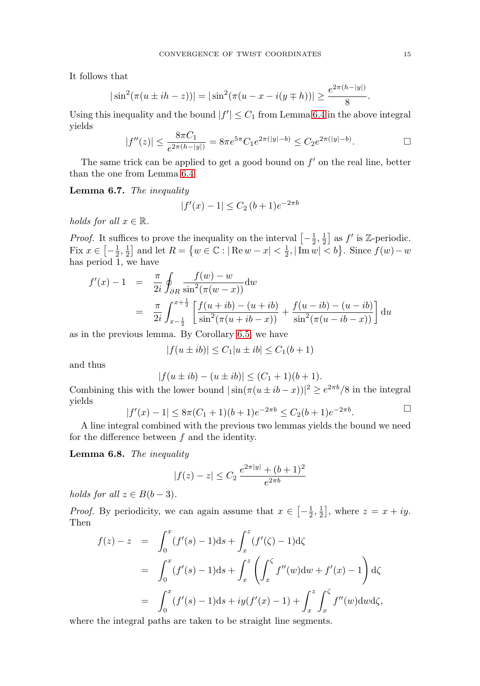It follows that

$$
|\sin^2(\pi(u \pm ih - z))| = |\sin^2(\pi(u - x - i(y \mp h))| \ge \frac{e^{2\pi(h - |y|)}}{8}.
$$

Using this inequality and the bound  $|f'| \leq C_1$  from Lemma [6.4](#page-13-0) in the above integral yields

$$
|f''(z)| \le \frac{8\pi C_1}{e^{2\pi(h-|y|)}} = 8\pi e^{5\pi} C_1 e^{2\pi(|y|-b)} \le C_2 e^{2\pi(|y|-b)}.
$$

The same trick can be applied to get a good bound on  $f'$  on the real line, better than the one from Lemma [6.4.](#page-13-0)

<span id="page-14-0"></span>**Lemma 6.7.** The inequality

$$
|f'(x) - 1| \le C_2 (b+1)e^{-2\pi b}
$$

holds for all  $x \in \mathbb{R}$ .

*Proof.* It suffices to prove the inequality on the interval  $\left[-\frac{1}{2},\frac{1}{2}\right]$  as  $f'$  is Z-periodic. Fix  $x \in \left[-\frac{1}{2}, \frac{1}{2}\right]$  and let  $R = \{w \in \mathbb{C} : |\text{Re } w - x| < \frac{1}{2}, |\lim_{w \to \infty} w| < b\}$ . Since  $f(w) - w$ has period 1, we have

$$
f'(x) - 1 = \frac{\pi}{2i} \oint_{\partial R} \frac{f(w) - w}{\sin^2(\pi(w - x))} dw
$$
  
= 
$$
\frac{\pi}{2i} \int_{x - \frac{1}{2}}^{x + \frac{1}{2}} \left[ \frac{f(u + ib) - (u + ib)}{\sin^2(\pi(u + ib - x))} + \frac{f(u - ib) - (u - ib)}{\sin^2(\pi(u - ib - x))} \right] du
$$

as in the previous lemma. By Corollary [6.5,](#page-13-1) we have

$$
|f(u \pm ib)| \le C_1|u \pm ib| \le C_1(b+1)
$$

and thus

$$
|f(u \pm ib) - (u \pm ib)| \le (C_1 + 1)(b + 1).
$$

Combining this with the lower bound  $|\sin(\pi(u \pm ib - x))|^2 \ge e^{2\pi b}/8$  in the integral yields

$$
|f'(x) - 1| \le 8\pi (C_1 + 1)(b+1)e^{-2\pi b} \le C_2(b+1)e^{-2\pi b}.
$$

A line integral combined with the previous two lemmas yields the bound we need for the difference between  $f$  and the identity.

<span id="page-14-1"></span>**Lemma 6.8.** The inequality

$$
|f(z) - z| \le C_2 \frac{e^{2\pi|y|} + (b+1)^2}{e^{2\pi b}}
$$

holds for all  $z \in B(b-3)$ .

*Proof.* By periodicity, we can again assume that  $x \in \left[-\frac{1}{2}, \frac{1}{2}\right]$ , where  $z = x + iy$ . Then

$$
f(z) - z = \int_0^x (f'(s) - 1)ds + \int_x^z (f'(\zeta) - 1)d\zeta
$$
  
= 
$$
\int_0^x (f'(s) - 1)ds + \int_x^z \left( \int_x^{\zeta} f''(w)dw + f'(x) - 1 \right) d\zeta
$$
  
= 
$$
\int_0^x (f'(s) - 1)ds + iy(f'(x) - 1) + \int_x^z \int_x^{\zeta} f''(w)dw d\zeta,
$$

where the integral paths are taken to be straight line segments.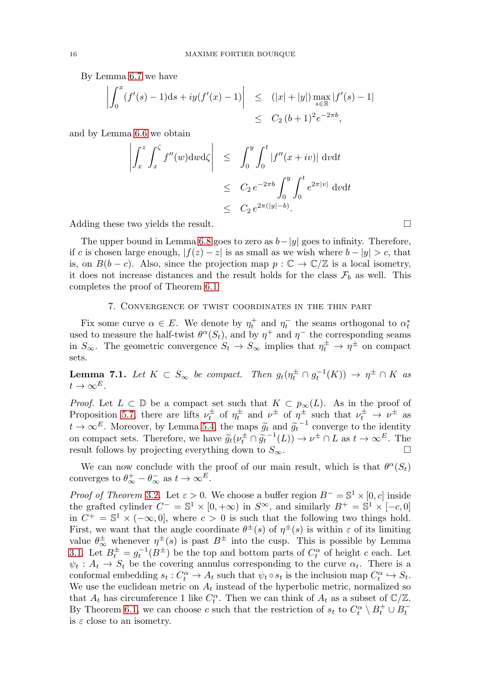By Lemma [6.7](#page-14-0) we have

$$
\left| \int_0^x (f'(s) - 1) \mathrm{d} s + iy(f'(x) - 1) \right| \leq (|x| + |y|) \max_{s \in \mathbb{R}} |f'(s) - 1|
$$
  

$$
\leq C_2 (b+1)^2 e^{-2\pi b},
$$

and by Lemma [6.6](#page-13-2) we obtain

$$
\left| \int_x^z \int_x^{\zeta} f''(w) \, dw \, d\zeta \right| \leq \int_0^y \int_0^t |f''(x+iv)| \, dv \, dt
$$
  

$$
\leq C_2 e^{-2\pi b} \int_0^y \int_0^t e^{2\pi |v|} \, dv \, dt
$$
  

$$
\leq C_2 e^{2\pi (|y|-b)}.
$$

Adding these two yields the result. -

The upper bound in Lemma [6.8](#page-14-1) goes to zero as  $b-|y|$  goes to infinity. Therefore, if c is chosen large enough,  $|f(z) - z|$  is as small as we wish where  $b - |y| > c$ , that is, on  $B(b-c)$ . Also, since the projection map  $p : \mathbb{C} \to \mathbb{C}/\mathbb{Z}$  is a local isometry, it does not increase distances and the result holds for the class  $\mathcal{F}_b$  as well. This completes the proof of Theorem [6.1.](#page-12-0)

### 7. Convergence of twist coordinates in the thin part

Fix some curve  $\alpha \in E$ . We denote by  $\eta_t^+$  and  $\eta_t^-$  the seams orthogonal to  $\alpha_t^*$ used to measure the half-twist  $\theta^{\alpha}(S_t)$ , and by  $\eta^+$  and  $\eta^-$  the corresponding seams in  $S_{\infty}$ . The geometric convergence  $S_t \to S_{\infty}$  implies that  $\eta_t^{\pm} \to \eta^{\pm}$  on compact sets.

<span id="page-15-0"></span>**Lemma 7.1.** Let  $K \subset S_{\infty}$  be compact. Then  $g_t(\eta_t^{\pm} \cap g_t^{-1}(K)) \to \eta^{\pm} \cap K$  as  $t\to\infty^E$ .

*Proof.* Let  $L \subset \mathbb{D}$  be a compact set such that  $K \subset p_{\infty}(L)$ . As in the proof of Proposition [5.7,](#page-11-0) there are lifts  $\nu_t^{\pm}$  of  $\eta_t^{\pm}$  and  $\nu^{\pm}$  of  $\eta_{\pm}^{\pm}$  such that  $\nu_t^{\pm} \to \nu^{\pm}$  as  $t \to \infty^E$ . Moreover, by Lemma [5.4,](#page-9-1) the maps  $\widetilde{g}_t$  and  $\widetilde{g}_t^{-1}$  converge to the identity on compact sets. Therefore, we have  $\widetilde{g}_t(\nu_t^{\pm} \cap \widetilde{g}_t^{-1}(L)) \to \nu^{\pm} \cap L$  as  $t \to \infty^E$ . The result follows by projecting everything down to  $S_{\infty}$ .

We can now conclude with the proof of our main result, which is that  $\theta^{\alpha}(S_t)$ converges to  $\theta_{\infty}^+ - \theta_{\infty}^-$  as  $t \to \infty^E$ .

*Proof of Theorem* [3.2](#page-3-1). Let  $\varepsilon > 0$ . We choose a buffer region  $B^- = \mathbb{S}^1 \times [0, c]$  inside the grafted cylinder  $C^- = \mathbb{S}^1 \times [0, +\infty)$  in  $S^{\infty}$ , and similarly  $B^+ = \mathbb{S}^1 \times [-c, 0]$ in  $C^+ = \mathbb{S}^1 \times (-\infty, 0]$ , where  $c > 0$  is such that the following two things hold. First, we want that the angle coordinate  $\theta^{\pm}(s)$  of  $\eta^{\pm}(s)$  is within  $\varepsilon$  of its limiting value  $\theta_{\infty}^{\pm}$  whenever  $\eta^{\pm}(s)$  is past  $B^{\pm}$  into the cusp. This is possible by Lemma [3.1.](#page-2-0) Let  $B_t^{\pm} = g_t^{-1}(B^{\pm})$  be the top and bottom parts of  $C_t^{\alpha}$  of height c each. Let  $\psi_t : A_t \to S_t$  be the covering annulus corresponding to the curve  $\alpha_t$ . There is a conformal embedding  $s_t: C_t^{\alpha} \to A_t$  such that  $\psi_t \circ s_t$  is the inclusion map  $C_t^{\alpha} \hookrightarrow S_t$ . We use the euclidean metric on  $A_t$  instead of the hyperbolic metric, normalized so that  $A_t$  has circumference 1 like  $C_t^{\alpha}$ . Then we can think of  $A_t$  as a subset of  $\mathbb{C}/\mathbb{Z}$ . By Theorem [6.1,](#page-12-0) we can choose c such that the restriction of  $s_t$  to  $C_t^{\alpha} \setminus B_t^+ \cup B_t^$ is  $\varepsilon$  close to an isometry.

 $\Box$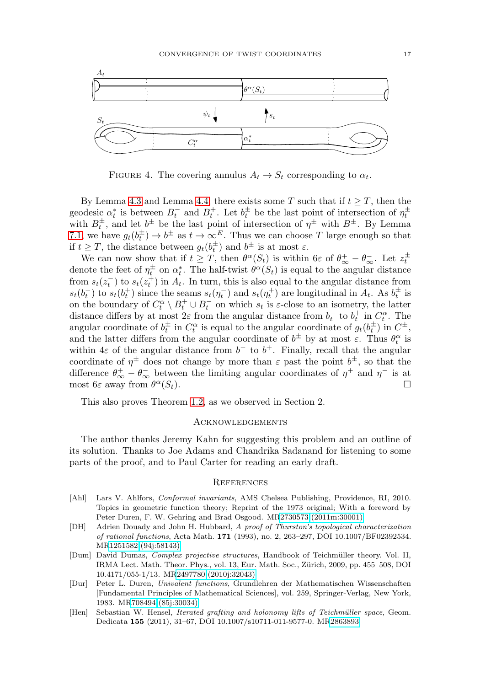

FIGURE 4. The covering annulus  $A_t \to S_t$  corresponding to  $\alpha_t$ .

By Lemma [4.3](#page-5-0) and Lemma [4.4,](#page-6-0) there exists some T such that if  $t > T$ , then the geodesic  $\alpha_t^*$  is between  $B_t^-$  and  $B_t^+$ . Let  $b_t^{\pm}$  be the last point of intersection of  $\eta_t^{\pm}$ with  $B_t^{\pm}$ , and let  $b^{\pm}$  be the last point of intersection of  $\eta^{\pm}$  with  $B^{\pm}$ . By Lemma [7.1,](#page-15-0) we have  $g_t(b_t^{\pm}) \to b^{\pm}$  as  $t \to \infty^E$ . Thus we can choose T large enough so that if  $t \geq T$ , the distance between  $g_t(b_t^{\pm})$  and  $b^{\pm}$  is at most  $\varepsilon$ .

We can now show that if  $t \geq T$ , then  $\theta^{\alpha}(S_t)$  is within 6 $\varepsilon$  of  $\theta^+_{\infty} - \theta^-_{\infty}$ . Let  $z_t^{\pm}$ denote the feet of  $\eta_t^{\pm}$  on  $\alpha_t^*$ . The half-twist  $\theta^{\alpha}(S_t)$  is equal to the angular distance from  $s_t(z_t^+)$  to  $s_t(z_t^+)$  in  $A_t$ . In turn, this is also equal to the angular distance from  $s_t(b_t^{-})$  to  $s_t(b_t^{+})$  since the seams  $s_t(\eta_t^{-})$  and  $s_t(\eta_t^{+})$  are longitudinal in  $A_t$ . As  $b_t^{\pm}$  is on the boundary of  $C_t^{\alpha} \setminus B_t^+ \cup B_t^-$  on which  $s_t$  is  $\varepsilon$ -close to an isometry, the latter distance differs by at most  $2\varepsilon$  from the angular distance from  $b_t^-$  to  $b_t^+$  in  $C_t^{\alpha}$ . The angular coordinate of  $b_t^{\pm}$  in  $C_t^{\alpha}$  is equal to the angular coordinate of  $g_t(b_t^{\pm})$  in  $C^{\pm}$ , and the latter differs from the angular coordinate of  $b^{\pm}$  by at most  $\varepsilon$ . Thus  $\theta_t^{\alpha}$  is within 4 $\varepsilon$  of the angular distance from  $b^-$  to  $b^+$ . Finally, recall that the angular coordinate of  $\eta^{\pm}$  does not change by more than  $\varepsilon$  past the point  $b^{\pm}$ , so that the difference  $\theta_{\infty}^{+} - \theta_{\infty}^{-}$  between the limiting angular coordinates of  $\eta^{+}$  and  $\eta^{-}$  is at most  $6\varepsilon$  away from  $\theta^{\alpha}(S_t)$ .

This also proves Theorem [1.2,](#page-1-0) as we observed in Section 2.

### Acknowledgements

The author thanks Jeremy Kahn for suggesting this problem and an outline of its solution. Thanks to Joe Adams and Chandrika Sadanand for listening to some parts of the proof, and to Paul Carter for reading an early draft.

#### **REFERENCES**

- <span id="page-16-3"></span>[Ahl] Lars V. Ahlfors, Conformal invariants, AMS Chelsea Publishing, Providence, RI, 2010. Topics in geometric function theory; Reprint of the 1973 original; With a foreword by Peter Duren, F. W. Gehring and Brad Osgood. M[R2730573 \(2011m:30001\)](http://www.ams.org/mathscinet-getitem?mr=2730573)
- <span id="page-16-2"></span>[DH] Adrien Douady and John H. Hubbard, A proof of Thurston's topological characterization of rational functions, Acta Math. **171** (1993), no. 2, 263–297, DOI 10.1007/BF02392534. M[R1251582 \(94j:58143\)](http://www.ams.org/mathscinet-getitem?mr=1251582)
- <span id="page-16-0"></span>[Dum] David Dumas, Complex projective structures, Handbook of Teichmüller theory. Vol. II, IRMA Lect. Math. Theor. Phys., vol. 13, Eur. Math. Soc., Zürich, 2009, pp. 455–508, DOI 10.4171/055-1/13. M[R2497780 \(2010j:32043\)](http://www.ams.org/mathscinet-getitem?mr=2497780)
- <span id="page-16-4"></span>[Dur] Peter L. Duren, Univalent functions, Grundlehren der Mathematischen Wissenschaften [Fundamental Principles of Mathematical Sciences], vol. 259, Springer-Verlag, New York, 1983. M[R708494 \(85j:30034\)](http://www.ams.org/mathscinet-getitem?mr=708494)
- <span id="page-16-1"></span>[Hen] Sebastian W. Hensel, *Iterated grafting and holonomy lifts of Teichmüller space*, Geom. Dedicata **155** (2011), 31–67, DOI 10.1007/s10711-011-9577-0. M[R2863893](http://www.ams.org/mathscinet-getitem?mr=2863893)